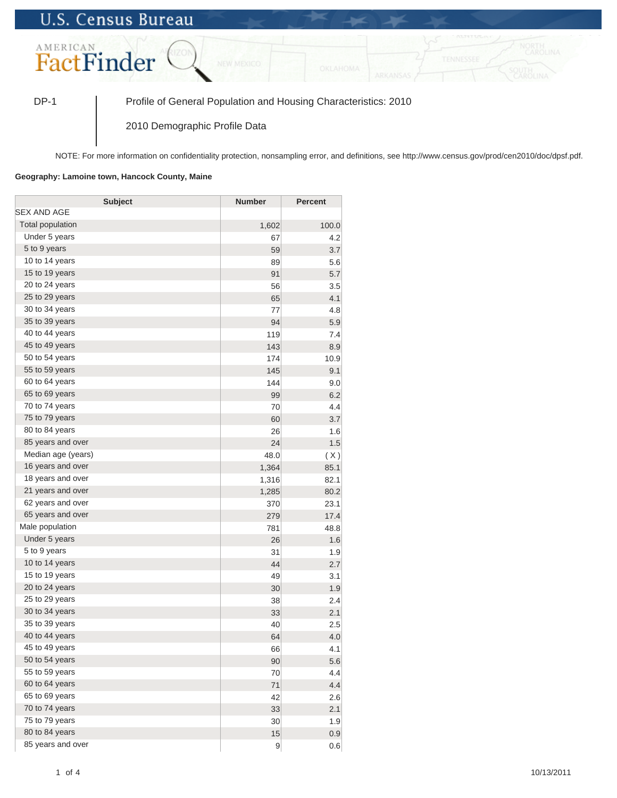## **U.S. Census Bureau**



DP-1 Profile of General Population and Housing Characteristics: 2010

2010 Demographic Profile Data

NOTE: For more information on confidentiality protection, nonsampling error, and definitions, see http://www.census.gov/prod/cen2010/doc/dpsf.pdf.

## **Geography: Lamoine town, Hancock County, Maine**

| <b>Subject</b>     | <b>Number</b>   | <b>Percent</b> |
|--------------------|-----------------|----------------|
| SEX AND AGE        |                 |                |
| Total population   | 1,602           | 100.0          |
| Under 5 years      | 67              | 4.2            |
| 5 to 9 years       | 59              | 3.7            |
| 10 to 14 years     | 89              | 5.6            |
| 15 to 19 years     | 91              | 5.7            |
| 20 to 24 years     | 56              | 3.5            |
| 25 to 29 years     | 65              | 4.1            |
| 30 to 34 years     | 77              | 4.8            |
| 35 to 39 years     | 94              | 5.9            |
| 40 to 44 years     | 119             | 7.4            |
| 45 to 49 years     | 143             | 8.9            |
| 50 to 54 years     | 174             | 10.9           |
| 55 to 59 years     | 145             | 9.1            |
| 60 to 64 years     | 144             | 9.0            |
| 65 to 69 years     | 99              | 6.2            |
| 70 to 74 years     | 70              | 4.4            |
| 75 to 79 years     | 60              | 3.7            |
| 80 to 84 years     | 26              | 1.6            |
| 85 years and over  | 24              | 1.5            |
| Median age (years) | 48.0            | (X)            |
| 16 years and over  | 1,364           | 85.1           |
| 18 years and over  | 1,316           | 82.1           |
| 21 years and over  | 1,285           | 80.2           |
| 62 years and over  | 370             | 23.1           |
| 65 years and over  | 279             | 17.4           |
| Male population    | 781             | 48.8           |
| Under 5 years      | 26              | 1.6            |
| 5 to 9 years       | 31              | 1.9            |
| 10 to 14 years     | 44              | 2.7            |
| 15 to 19 years     | 49              | 3.1            |
| 20 to 24 years     | 30              | 1.9            |
| 25 to 29 years     | 38              | 2.4            |
| 30 to 34 years     | 33              | 2.1            |
| 35 to 39 years     | 40              | 2.5            |
| 40 to 44 years     | 64              | 4.0            |
| 45 to 49 years     | 66              | 4.1            |
| 50 to 54 years     | 90              | 5.6            |
| 55 to 59 years     | 70              | 4.4            |
| 60 to 64 years     | 71              | 4.4            |
| 65 to 69 years     | 42              | 2.6            |
| 70 to 74 years     | 33              | 2.1            |
| 75 to 79 years     | 30 <sup>°</sup> | 1.9            |
| 80 to 84 years     | 15              | 0.9            |
| 85 years and over  | 9               | 0.6            |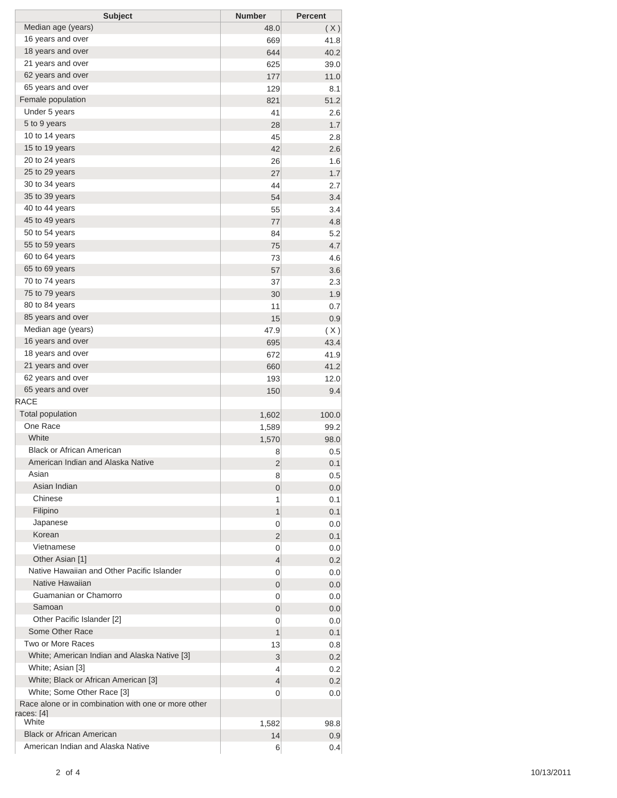| <b>Subject</b>                                                             | <b>Number</b> | <b>Percent</b> |
|----------------------------------------------------------------------------|---------------|----------------|
| Median age (years)                                                         | 48.0          | (X)            |
| 16 years and over                                                          | 669           | 41.8           |
| 18 years and over                                                          | 644           | 40.2           |
| 21 years and over                                                          | 625           | 39.0           |
| 62 years and over                                                          | 177           | 11.0           |
| 65 years and over                                                          | 129           | 8.1            |
| Female population                                                          | 821           | 51.2           |
| Under 5 years                                                              | 41            | 2.6            |
| 5 to 9 years                                                               | 28            | 1.7            |
| 10 to 14 years                                                             | 45            | 2.8            |
| 15 to 19 years                                                             | 42            | 2.6            |
| 20 to 24 years                                                             | 26            | 1.6            |
| 25 to 29 years                                                             | 27            | 1.7            |
| 30 to 34 years                                                             | 44            | 2.7            |
| 35 to 39 years                                                             | 54            | 3.4            |
| 40 to 44 years                                                             | 55            | 3.4            |
| 45 to 49 years<br>50 to 54 years                                           | 77            | 4.8            |
| 55 to 59 years                                                             | 84            | 5.2            |
| 60 to 64 years                                                             | 75            | 4.7            |
| 65 to 69 years                                                             | 73            | 4.6            |
| 70 to 74 years                                                             | 57            | 3.6            |
| 75 to 79 years                                                             | 37            | 2.3<br>1.9     |
| 80 to 84 years                                                             | 30<br>11      | 0.7            |
| 85 years and over                                                          | 15            | 0.9            |
| Median age (years)                                                         | 47.9          |                |
| 16 years and over                                                          | 695           | (X)<br>43.4    |
| 18 years and over                                                          | 672           | 41.9           |
| 21 years and over                                                          | 660           | 41.2           |
| 62 years and over                                                          | 193           | 12.0           |
| 65 years and over                                                          | 150           | 9.4            |
| <b>RACE</b>                                                                |               |                |
| <b>Total population</b>                                                    | 1,602         | 100.0          |
| One Race                                                                   | 1,589         | 99.2           |
| White                                                                      | 1,570         | 98.0           |
| <b>Black or African American</b>                                           | 8             | 0.5            |
| American Indian and Alaska Native                                          | 2             | 0.1            |
| Asian                                                                      | 8             | 0.5            |
| Asian Indian                                                               | 0             | 0.0            |
| Chinese                                                                    | 1             | 0.1            |
| Filipino                                                                   | 1             | 0.1            |
| Japanese                                                                   | 0             | 0.0            |
| Korean                                                                     | 2             | 0.1            |
| Vietnamese                                                                 | 0             | 0.0            |
| Other Asian [1]                                                            | 4             | 0.2            |
| Native Hawaiian and Other Pacific Islander                                 | 0             | 0.0            |
| Native Hawaiian                                                            | 0             | 0.0            |
| Guamanian or Chamorro                                                      | 0             | 0.0            |
| Samoan                                                                     | 0             | 0.0            |
| Other Pacific Islander [2]                                                 | 0             | 0.0            |
| Some Other Race                                                            | 1             | 0.1            |
| Two or More Races                                                          | 13            | 0.8            |
| White; American Indian and Alaska Native [3]                               | 3             | 0.2            |
| White; Asian [3]                                                           | 4             | 0.2            |
| White; Black or African American [3]                                       | 4             | 0.2            |
| White; Some Other Race [3]                                                 | 0             | 0.0            |
| Race alone or in combination with one or more other<br>races: [4]<br>White | 1,582         | 98.8           |
| <b>Black or African American</b>                                           | 14            | 0.9            |
| American Indian and Alaska Native                                          | 6             | 0.4            |
|                                                                            |               |                |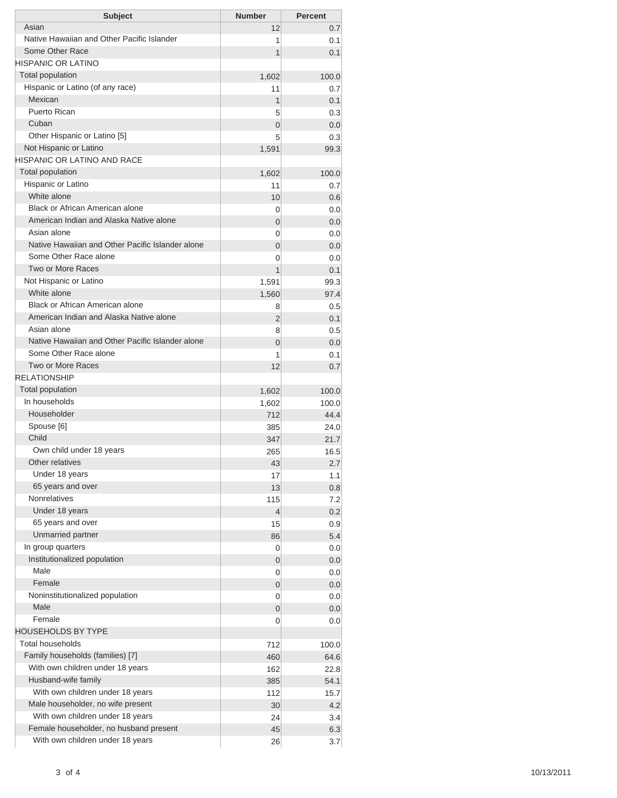| <b>Subject</b>                                   | <b>Number</b>       | <b>Percent</b> |
|--------------------------------------------------|---------------------|----------------|
| Asian                                            | 12                  | 0.7            |
| Native Hawaiian and Other Pacific Islander       | 1                   | 0.1            |
| Some Other Race                                  | 1                   | 0.1            |
| HISPANIC OR LATINO                               |                     |                |
| <b>Total population</b>                          | 1,602               | 100.0          |
| Hispanic or Latino (of any race)<br>Mexican      | 11                  | 0.7            |
| Puerto Rican                                     | 1                   | 0.1            |
| Cuban                                            | 5<br>$\overline{0}$ | 0.3<br>0.0     |
| Other Hispanic or Latino [5]                     | 5                   | 0.3            |
| Not Hispanic or Latino                           | 1,591               | 99.3           |
| HISPANIC OR LATINO AND RACE                      |                     |                |
| <b>Total population</b>                          | 1,602               | 100.0          |
| Hispanic or Latino                               | 11                  | 0.7            |
| White alone                                      | 10                  | 0.6            |
| Black or African American alone                  | 0                   | 0.0            |
| American Indian and Alaska Native alone          | 0                   | 0.0            |
| Asian alone                                      | 0                   | 0.0            |
| Native Hawaiian and Other Pacific Islander alone | $\overline{0}$      | 0.0            |
| Some Other Race alone                            | 0                   | 0.0            |
| Two or More Races                                | 1                   | 0.1            |
| Not Hispanic or Latino                           | 1,591               | 99.3           |
| White alone<br>Black or African American alone   | 1,560               | 97.4           |
| American Indian and Alaska Native alone          | 8                   | 0.5            |
| Asian alone                                      | 2                   | 0.1            |
| Native Hawaiian and Other Pacific Islander alone | 8<br>$\overline{0}$ | 0.5<br>0.0     |
| Some Other Race alone                            | 1                   | 0.1            |
| Two or More Races                                | 12                  | 0.7            |
| <b>RELATIONSHIP</b>                              |                     |                |
| Total population                                 | 1,602               | 100.0          |
| In households                                    | 1,602               | 100.0          |
| Householder                                      | 712                 | 44.4           |
| Spouse [6]                                       | 385                 | 24.0           |
| Child                                            | 347                 | 21.7           |
| Own child under 18 years                         | 265                 | 16.5           |
| Other relatives                                  | 43                  | 2.7            |
| Under 18 years                                   | 17                  | 1.1            |
| 65 years and over                                | 13                  | 0.8            |
| <b>Nonrelatives</b>                              | 115                 | 7.2            |
| Under 18 years                                   | 4                   | 0.2            |
| 65 years and over                                | 15                  | 0.9            |
| Unmarried partner                                | 86                  | 5.4            |
| In group quarters                                | 0                   | 0.0            |
| Institutionalized population<br>Male             | 0                   | 0.0            |
| Female                                           | 0                   | 0.0            |
| Noninstitutionalized population                  | 0                   | 0.0            |
| Male                                             | 0                   | 0.0<br>0.0     |
| Female                                           | 0<br>0              | 0.0            |
| HOUSEHOLDS BY TYPE                               |                     |                |
| <b>Total households</b>                          | 712                 | 100.0          |
| Family households (families) [7]                 | 460                 | 64.6           |
| With own children under 18 years                 | 162                 | 22.8           |
| Husband-wife family                              | 385                 | 54.1           |
| With own children under 18 years                 | 112                 | 15.7           |
| Male householder, no wife present                | 30                  | 4.2            |
| With own children under 18 years                 | 24                  | 3.4            |
| Female householder, no husband present           | 45                  | 6.3            |
| With own children under 18 years                 | 26                  | 3.7            |